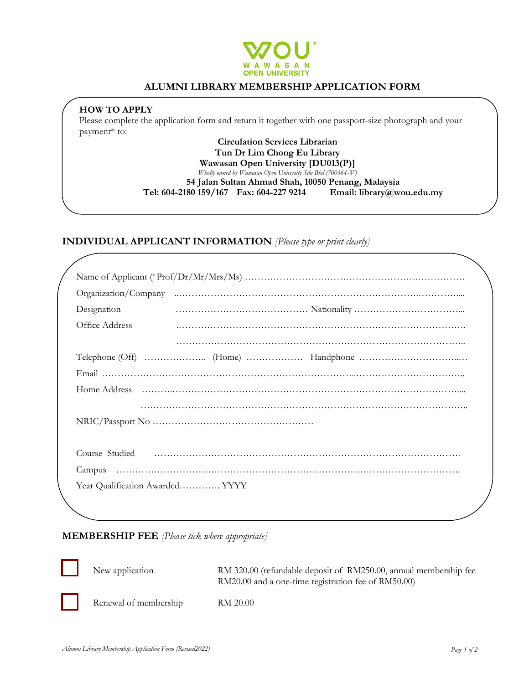

### **ALUMNI LIBRARY MEMBERSHIP APPLICATION FORM**

### **HOW TO APPLY**

Please complete the application form and return it together with one passport-size photograph and your payment\* to:

#### **Circulation Services Librarian Tun Dr Lim Chong Eu Library Wawasan Open University [DU013(P)]** *Wholly owned by Wawasan Open University Sdn Bhd (700364-W)*

**54 Jalan Sultan Ahmad Shah, 10050 Penang, Malaysia**

**Tel: 604-2180 159/167 Fax: 604-227 9214 Email: library@wou.edu.my**

## **INDIVIDUAL APPLICANT INFORMATION** *[Please type or print clearly]*

| Designation                     |  |
|---------------------------------|--|
| Office Address                  |  |
|                                 |  |
|                                 |  |
|                                 |  |
|                                 |  |
|                                 |  |
|                                 |  |
|                                 |  |
|                                 |  |
|                                 |  |
| Year Qualification Awarded YYYY |  |
|                                 |  |

### **MEMBERSHIP FEE** *[Please tick where appropriate]*

New application RM 320.00 (refundable deposit of RM250.00, annual membership fee RM20.00 and a one-time registration fee of RM50.00) Renewal of membership RM 20.00